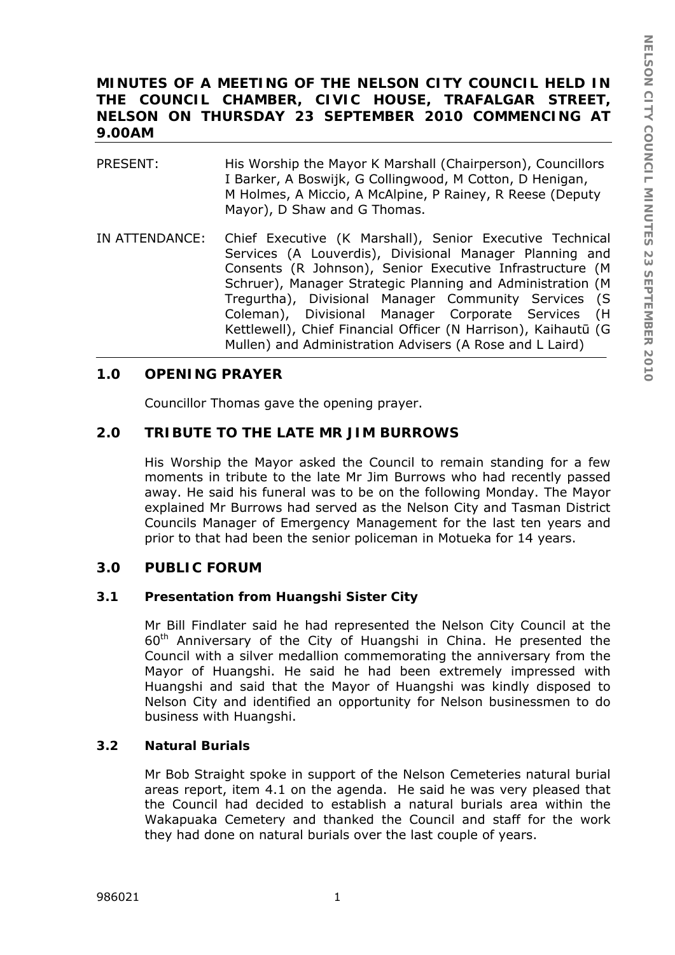# **MINUTES OF A MEETING OF THE NELSON CITY COUNCIL HELD IN THE COUNCIL CHAMBER, CIVIC HOUSE, TRAFALGAR STREET, NELSON ON THURSDAY 23 SEPTEMBER 2010 COMMENCING AT 9.00AM**

| PRESENT: | His Worship the Mayor K Marshall (Chairperson), Councillors<br>I Barker, A Boswijk, G Collingwood, M Cotton, D Henigan, |
|----------|-------------------------------------------------------------------------------------------------------------------------|
|          | M Holmes, A Miccio, A McAlpine, P Rainey, R Reese (Deputy<br>Mayor), D Shaw and G Thomas.                               |

IN ATTENDANCE: Chief Executive (K Marshall), Senior Executive Technical Services (A Louverdis), Divisional Manager Planning and Consents (R Johnson), Senior Executive Infrastructure (M Schruer), Manager Strategic Planning and Administration (M Tregurtha), Divisional Manager Community Services (S Coleman), Divisional Manager Corporate Services (H Kettlewell), Chief Financial Officer (N Harrison), Kaihautū (G Mullen) and Administration Advisers (A Rose and L Laird)

# **1.0 OPENING PRAYER**

Councillor Thomas gave the opening prayer.

## **2.0 TRIBUTE TO THE LATE MR JIM BURROWS**

His Worship the Mayor asked the Council to remain standing for a few moments in tribute to the late Mr Jim Burrows who had recently passed away. He said his funeral was to be on the following Monday. The Mayor explained Mr Burrows had served as the Nelson City and Tasman District Councils Manager of Emergency Management for the last ten years and prior to that had been the senior policeman in Motueka for 14 years.

## **3.0 PUBLIC FORUM**

## **3.1 Presentation from Huangshi Sister City**

Mr Bill Findlater said he had represented the Nelson City Council at the 60th Anniversary of the City of Huangshi in China. He presented the Council with a silver medallion commemorating the anniversary from the Mayor of Huangshi. He said he had been extremely impressed with Huangshi and said that the Mayor of Huangshi was kindly disposed to Nelson City and identified an opportunity for Nelson businessmen to do business with Huangshi.

## **3.2 Natural Burials**

Mr Bob Straight spoke in support of the Nelson Cemeteries natural burial areas report, item 4.1 on the agenda. He said he was very pleased that the Council had decided to establish a natural burials area within the Wakapuaka Cemetery and thanked the Council and staff for the work they had done on natural burials over the last couple of years.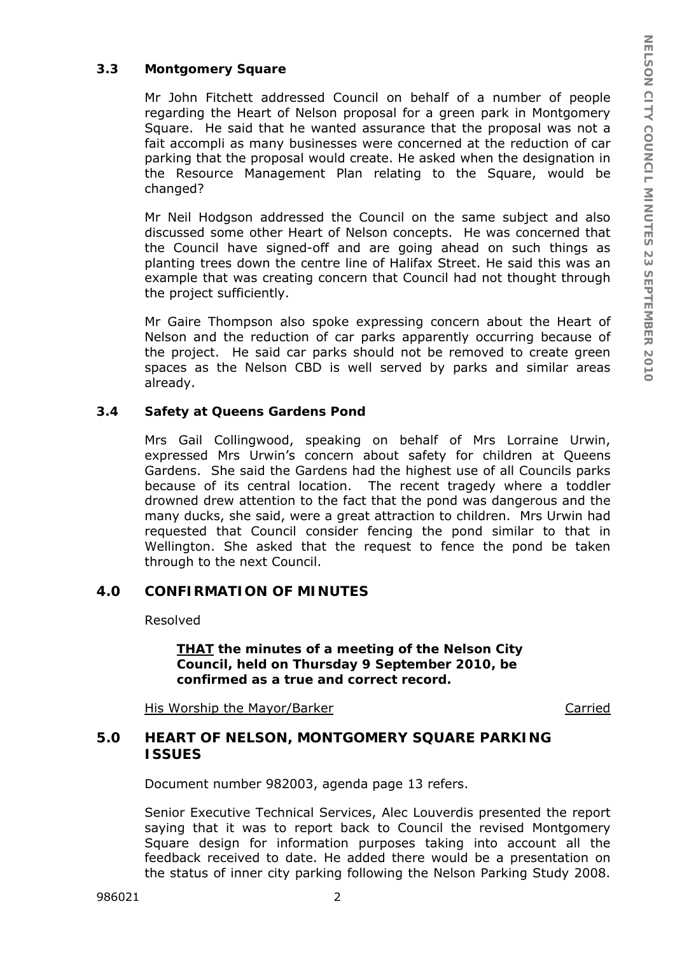#### **3.3 Montgomery Square**

Mr John Fitchett addressed Council on behalf of a number of people regarding the Heart of Nelson proposal for a green park in Montgomery Square. He said that he wanted assurance that the proposal was not a fait accompli as many businesses were concerned at the reduction of car parking that the proposal would create. He asked when the designation in the Resource Management Plan relating to the Square, would be changed?

Mr Neil Hodgson addressed the Council on the same subject and also discussed some other Heart of Nelson concepts. He was concerned that the Council have signed-off and are going ahead on such things as planting trees down the centre line of Halifax Street. He said this was an example that was creating concern that Council had not thought through the project sufficiently.

Mr Gaire Thompson also spoke expressing concern about the Heart of Nelson and the reduction of car parks apparently occurring because of the project. He said car parks should not be removed to create green spaces as the Nelson CBD is well served by parks and similar areas already.

#### **3.4 Safety at Queens Gardens Pond**

Mrs Gail Collingwood, speaking on behalf of Mrs Lorraine Urwin, expressed Mrs Urwin's concern about safety for children at Queens Gardens. She said the Gardens had the highest use of all Councils parks because of its central location. The recent tragedy where a toddler drowned drew attention to the fact that the pond was dangerous and the many ducks, she said, were a great attraction to children. Mrs Urwin had requested that Council consider fencing the pond similar to that in Wellington. She asked that the request to fence the pond be taken through to the next Council.

# **4.0 CONFIRMATION OF MINUTES**

Resolved

*THAT the minutes of a meeting of the Nelson City Council, held on Thursday 9 September 2010, be confirmed as a true and correct record.* 

His Worship the Mayor/Barker Carried

## **5.0 HEART OF NELSON, MONTGOMERY SQUARE PARKING ISSUES**

Document number 982003, agenda page 13 refers.

Senior Executive Technical Services, Alec Louverdis presented the report saying that it was to report back to Council the revised Montgomery Square design for information purposes taking into account all the feedback received to date. He added there would be a presentation on the status of inner city parking following the Nelson Parking Study 2008.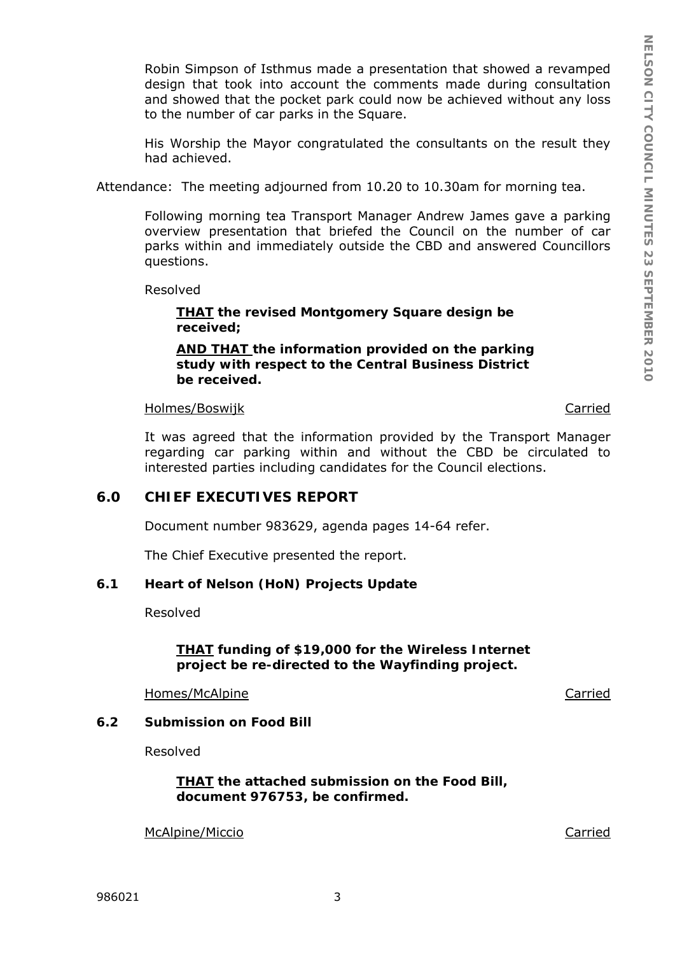Robin Simpson of Isthmus made a presentation that showed a revamped design that took into account the comments made during consultation and showed that the pocket park could now be achieved without any loss to the number of car parks in the Square.

His Worship the Mayor congratulated the consultants on the result they had achieved.

Attendance: The meeting adjourned from 10.20 to 10.30am for morning tea.

Following morning tea Transport Manager Andrew James gave a parking overview presentation that briefed the Council on the number of car parks within and immediately outside the CBD and answered Councillors questions.

Resolved

*THAT the revised Montgomery Square design be received;* 

*AND THAT the information provided on the parking study with respect to the Central Business District be received.* 

Holmes/Boswijk Carried

It was agreed that the information provided by the Transport Manager regarding car parking within and without the CBD be circulated to interested parties including candidates for the Council elections.

# **6.0 CHIEF EXECUTIVES REPORT**

Document number 983629, agenda pages 14-64 refer.

The Chief Executive presented the report.

## **6.1 Heart of Nelson (HoN) Projects Update**

Resolved

*THAT funding of \$19,000 for the Wireless Internet project be re-directed to the Wayfinding project.* 

Homes/McAlpine Carried

## **6.2 Submission on Food Bill**

Resolved

*THAT the attached submission on the Food Bill, document 976753, be confirmed.* 

McAlpine/Miccio Carried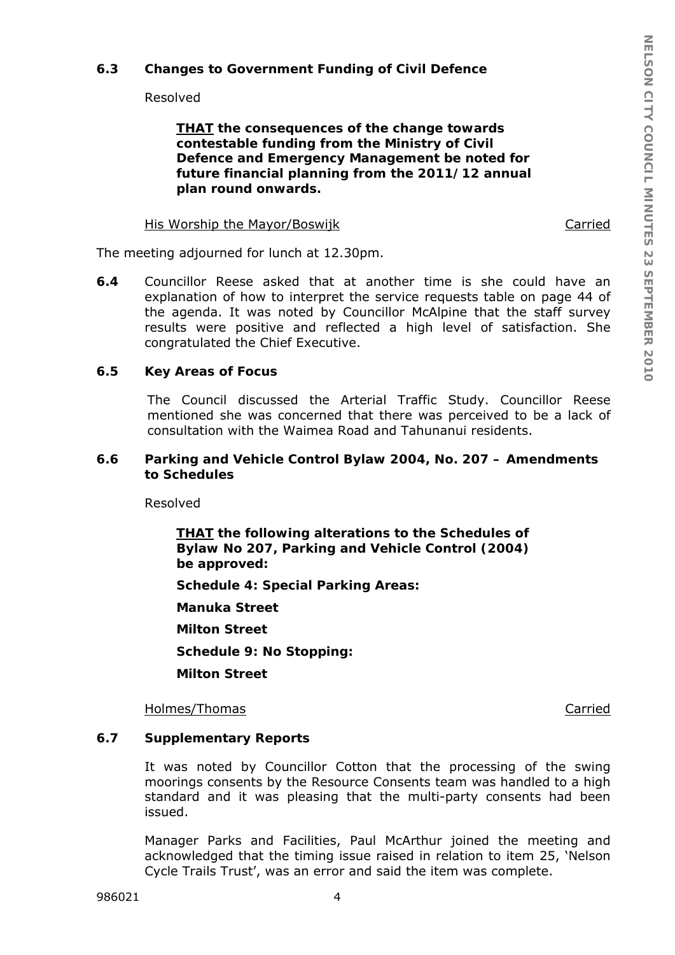## **6.3 Changes to Government Funding of Civil Defence**

Resolved

*THAT the consequences of the change towards contestable funding from the Ministry of Civil Defence and Emergency Management be noted for future financial planning from the 2011/12 annual plan round onwards.* 

#### His Worship the Mayor/Boswijk Carried

The meeting adjourned for lunch at 12.30pm.

**6.4** Councillor Reese asked that at another time is she could have an explanation of how to interpret the service requests table on page 44 of the agenda. It was noted by Councillor McAlpine that the staff survey results were positive and reflected a high level of satisfaction. She congratulated the Chief Executive.

## **6.5 Key Areas of Focus**

The Council discussed the Arterial Traffic Study. Councillor Reese mentioned she was concerned that there was perceived to be a lack of consultation with the Waimea Road and Tahunanui residents.

#### **6.6 Parking and Vehicle Control Bylaw 2004, No. 207 – Amendments to Schedules**

Resolved

*THAT the following alterations to the Schedules of Bylaw No 207, Parking and Vehicle Control (2004) be approved: Schedule 4: Special Parking Areas: Manuka Street Milton Street Schedule 9: No Stopping: Milton Street* 

Holmes/Thomas **Carried** 

## **6.7 Supplementary Reports**

It was noted by Councillor Cotton that the processing of the swing moorings consents by the Resource Consents team was handled to a high standard and it was pleasing that the multi-party consents had been issued.

Manager Parks and Facilities, Paul McArthur joined the meeting and acknowledged that the timing issue raised in relation to item 25, 'Nelson Cycle Trails Trust', was an error and said the item was complete.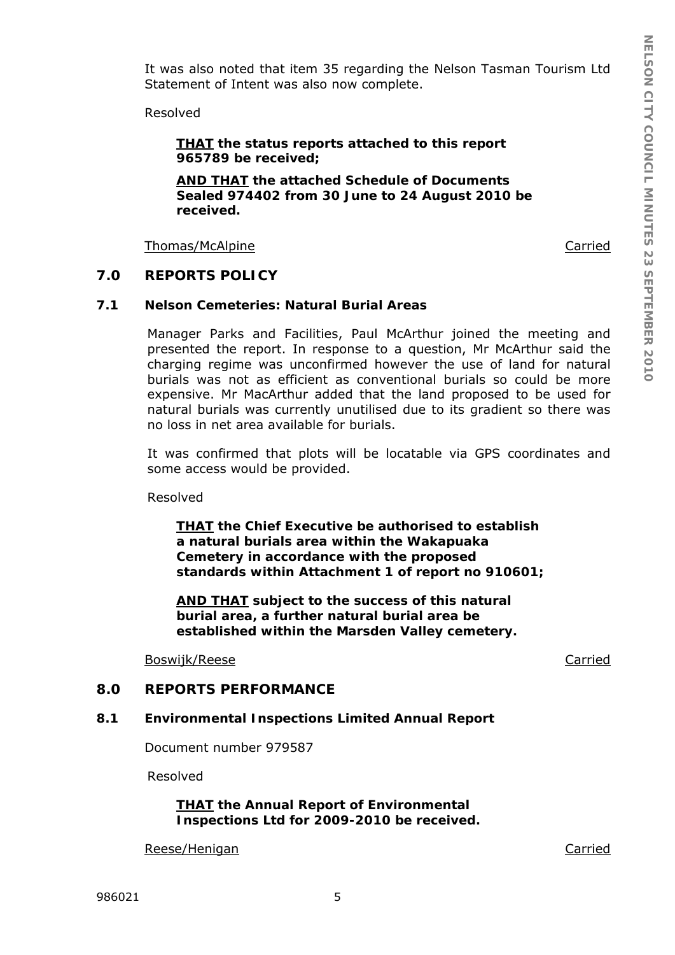It was also noted that item 35 regarding the Nelson Tasman Tourism Ltd Statement of Intent was also now complete.

Resolved

*THAT the status reports attached to this report 965789 be received;* 

*AND THAT the attached Schedule of Documents Sealed 974402 from 30 June to 24 August 2010 be received.* 

Thomas/McAlpine **Carried** 

#### **7.0 REPORTS POLICY**

### **7.1 Nelson Cemeteries: Natural Burial Areas**

Manager Parks and Facilities, Paul McArthur joined the meeting and presented the report. In response to a question, Mr McArthur said the charging regime was unconfirmed however the use of land for natural burials was not as efficient as conventional burials so could be more expensive. Mr MacArthur added that the land proposed to be used for natural burials was currently unutilised due to its gradient so there was no loss in net area available for burials.

It was confirmed that plots will be locatable via GPS coordinates and some access would be provided.

Resolved

*THAT the Chief Executive be authorised to establish a natural burials area within the Wakapuaka Cemetery in accordance with the proposed standards within Attachment 1 of report no 910601;* 

*AND THAT subject to the success of this natural burial area, a further natural burial area be established within the Marsden Valley cemetery.* 

Boswijk/Reese Carried

# **8.0 REPORTS PERFORMANCE**

#### **8.1 Environmental Inspections Limited Annual Report**

Document number 979587

Resolved

*THAT the Annual Report of Environmental Inspections Ltd for 2009-2010 be received.*

Reese/Henigan Carried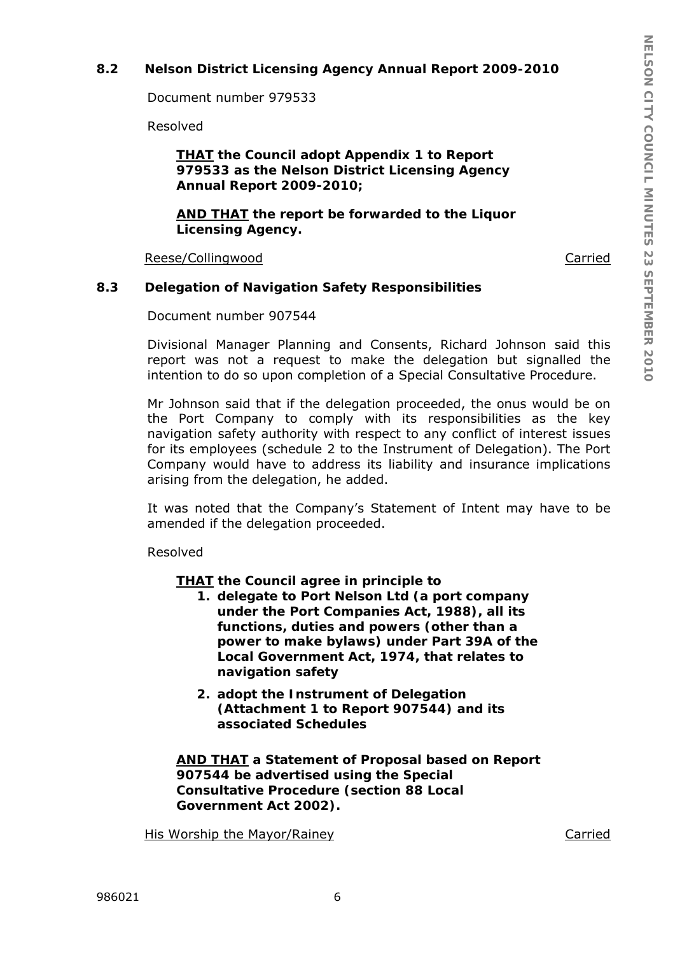# **8.2 Nelson District Licensing Agency Annual Report 2009-2010**

Document number 979533

Resolved

## *THAT the Council adopt Appendix 1 to Report 979533 as the Nelson District Licensing Agency Annual Report 2009-2010;*

*AND THAT the report be forwarded to the Liquor Licensing Agency.* 

Reese/Collingwood **Carried** 

## **8.3 Delegation of Navigation Safety Responsibilities**

Document number 907544

Divisional Manager Planning and Consents, Richard Johnson said this report was not a request to make the delegation but signalled the intention to do so upon completion of a Special Consultative Procedure.

Mr Johnson said that if the delegation proceeded, the onus would be on the Port Company to comply with its responsibilities as the key navigation safety authority with respect to any conflict of interest issues for its employees (schedule 2 to the Instrument of Delegation). The Port Company would have to address its liability and insurance implications arising from the delegation, he added.

It was noted that the Company's Statement of Intent may have to be amended if the delegation proceeded.

Resolved

## *THAT the Council agree in principle to*

- *1. delegate to Port Nelson Ltd (a port company under the Port Companies Act, 1988), all its functions, duties and powers (other than a power to make bylaws) under Part 39A of the Local Government Act, 1974, that relates to navigation safety*
- *2. adopt the Instrument of Delegation (Attachment 1 to Report 907544) and its associated Schedules*

*AND THAT a Statement of Proposal based on Report 907544 be advertised using the Special Consultative Procedure (section 88 Local Government Act 2002).* 

His Worship the Mayor/Rainey Carried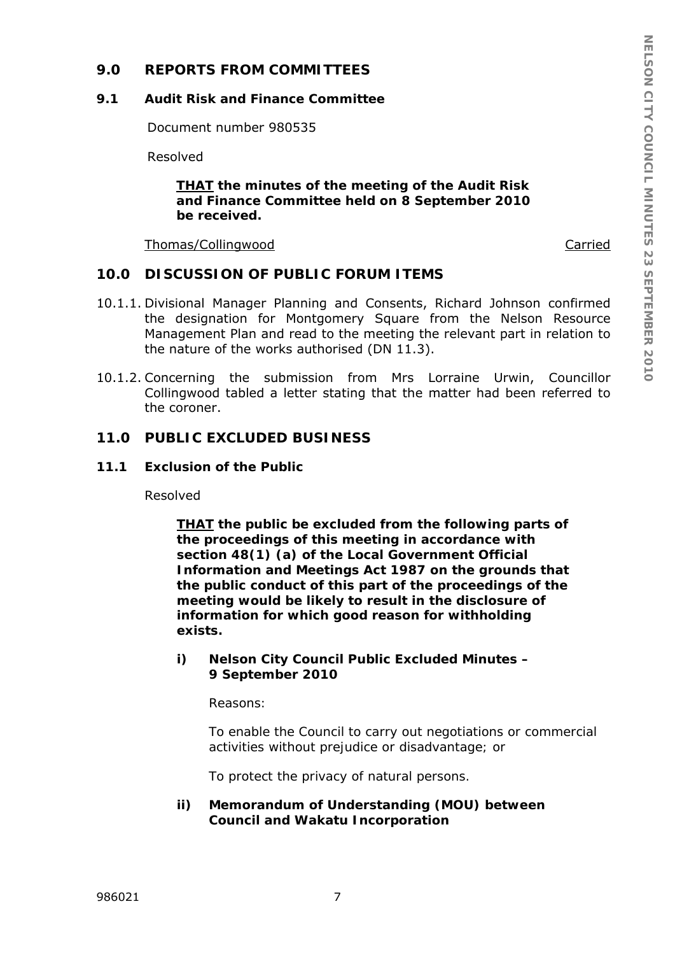## **9.0 REPORTS FROM COMMITTEES**

#### **9.1 Audit Risk and Finance Committee**

Document number 980535

Resolved

*THAT the minutes of the meeting of the Audit Risk and Finance Committee held on 8 September 2010 be received.* 

Thomas/Collingwood Carried

#### **10.0 DISCUSSION OF PUBLIC FORUM ITEMS**

- 10.1.1. Divisional Manager Planning and Consents, Richard Johnson confirmed the designation for Montgomery Square from the Nelson Resource Management Plan and read to the meeting the relevant part in relation to the nature of the works authorised (DN 11.3).
- 10.1.2. Concerning the submission from Mrs Lorraine Urwin, Councillor Collingwood tabled a letter stating that the matter had been referred to the coroner.

## **11.0 PUBLIC EXCLUDED BUSINESS**

#### **11.1 Exclusion of the Public**

Resolved

*THAT the public be excluded from the following parts of the proceedings of this meeting in accordance with section 48(1) (a) of the Local Government Official Information and Meetings Act 1987 on the grounds that the public conduct of this part of the proceedings of the meeting would be likely to result in the disclosure of information for which good reason for withholding exists.* 

*i) Nelson City Council Public Excluded Minutes – 9 September 2010* 

*Reasons:* 

*To enable the Council to carry out negotiations or commercial activities without prejudice or disadvantage; or* 

*To protect the privacy of natural persons.* 

*ii) Memorandum of Understanding (MOU) between Council and Wakatu Incorporation*